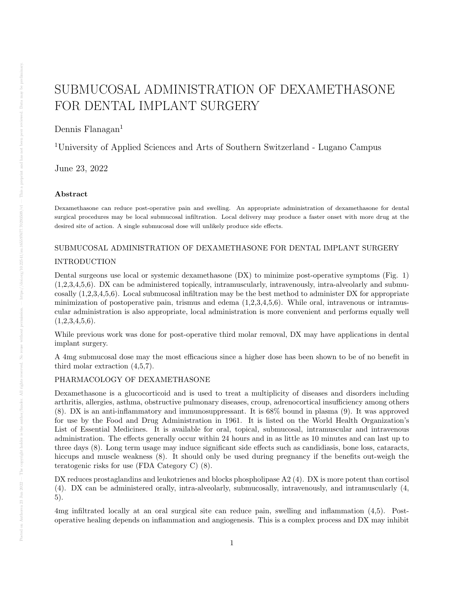# SUBMUCOSAL ADMINISTRATION OF DEXAMETHASONE FOR DENTAL IMPLANT SURGERY

Dennis Flanagan $<sup>1</sup>$ </sup>

<sup>1</sup>University of Applied Sciences and Arts of Southern Switzerland - Lugano Campus

June 23, 2022

# Abstract

Dexamethasone can reduce post-operative pain and swelling. An appropriate administration of dexamethasone for dental surgical procedures may be local submucosal infiltration. Local delivery may produce a faster onset with more drug at the desired site of action. A single submucosal dose will unlikely produce side effects.

# SUBMUCOSAL ADMINISTRATION OF DEXAMETHASONE FOR DENTAL IMPLANT SURGERY INTRODUCTION

Dental surgeons use local or systemic dexamethasone (DX) to minimize post-operative symptoms (Fig. 1)  $(1,2,3,4,5,6)$ . DX can be administered topically, intramuscularly, intravenously, intra-alveolarly and submucosally (1,2,3,4,5,6). Local submucosal infiltration may be the best method to administer DX for appropriate minimization of postoperative pain, trismus and edema  $(1,2,3,4,5,6)$ . While oral, intravenous or intramuscular administration is also appropriate, local administration is more convenient and performs equally well  $(1,2,3,4,5,6).$ 

While previous work was done for post-operative third molar removal, DX may have applications in dental implant surgery.

A 4mg submucosal dose may the most efficacious since a higher dose has been shown to be of no benefit in third molar extraction (4,5,7).

# PHARMACOLOGY OF DEXAMETHASONE

Dexamethasone is a glucocorticoid and is used to treat a multiplicity of diseases and disorders including arthritis, allergies, asthma, obstructive pulmonary diseases, croup, adrenocortical insufficiency among others (8). DX is an anti-inflammatory and immunosuppressant. It is 68% bound in plasma (9). It was approved for use by the Food and Drug Administration in 1961. It is listed on the World Health Organization's List of Essential Medicines. It is available for oral, topical, submucosal, intramuscular and intravenous administration. The effects generally occur within 24 hours and in as little as 10 minutes and can last up to three days (8). Long term usage may induce significant side effects such as candidiasis, bone loss, cataracts, hiccups and muscle weakness  $(8)$ . It should only be used during pregnancy if the benefits out-weigh the teratogenic risks for use (FDA Category C) (8).

DX reduces prostaglandins and leukotrienes and blocks phospholipase A2 (4). DX is more potent than cortisol (4). DX can be administered orally, intra-alveolarly, submucosally, intravenously, and intramuscularly (4, 5).

4mg infiltrated locally at an oral surgical site can reduce pain, swelling and inflammation (4,5). Postoperative healing depends on inflammation and angiogenesis. This is a complex process and DX may inhibit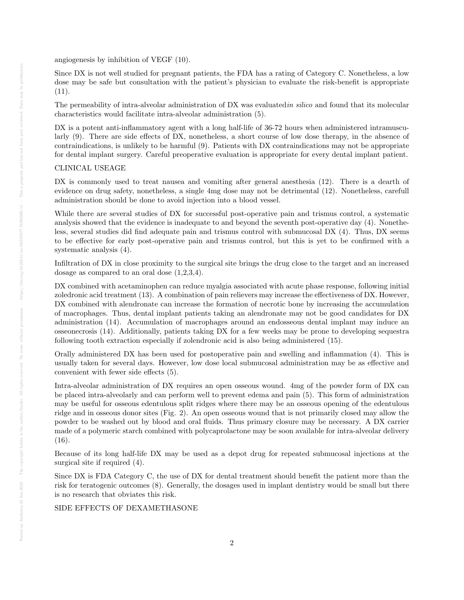angiogenesis by inhibition of VEGF (10).

Since DX is not well studied for pregnant patients, the FDA has a rating of Category C. Nonetheless, a low dose may be safe but consultation with the patient's physician to evaluate the risk-benefit is appropriate  $(11).$ 

The permeability of intra-alveolar administration of DX was evaluated in silico and found that its molecular characteristics would facilitate intra-alveolar administration (5).

DX is a potent anti-inflammatory agent with a long half-life of 36-72 hours when administered intramuscularly (9). There are side effects of DX, nonetheless, a short course of low dose therapy, in the absence of contraindications, is unlikely to be harmful (9). Patients with DX contraindications may not be appropriate for dental implant surgery. Careful preoperative evaluation is appropriate for every dental implant patient.

### CLINICAL USEAGE

DX is commonly used to treat nausea and vomiting after general anesthesia (12). There is a dearth of evidence on drug safety, nonetheless, a single 4mg dose may not be detrimental (12). Nonetheless, carefull administration should be done to avoid injection into a blood vessel.

While there are several studies of DX for successful post-operative pain and trismus control, a systematic analysis showed that the evidence is inadequate to and beyond the seventh post-operative day (4). Nonetheless, several studies did find adequate pain and trismus control with submucosal DX (4). Thus, DX seems to be effective for early post-operative pain and trismus control, but this is yet to be confirmed with a systematic analysis (4).

Infiltration of DX in close proximity to the surgical site brings the drug close to the target and an increased dosage as compared to an oral dose (1,2,3,4).

DX combined with acetaminophen can reduce myalgia associated with acute phase response, following initial zoledronic acid treatment (13). A combination of pain relievers may increase the effectiveness of DX. However, DX combined with alendronate can increase the formation of necrotic bone by increasing the accumulation of macrophages. Thus, dental implant patients taking an alendronate may not be good candidates for DX administration (14). Accumulation of macrophages around an endosseous dental implant may induce an osseonecrosis (14). Additionally, patients taking DX for a few weeks may be prone to developing sequestra following tooth extraction especially if zolendronic acid is also being administered (15).

Orally administered DX has been used for postoperative pain and swelling and inflammation (4). This is usually taken for several days. However, low dose local submucosal administration may be as effective and convenient with fewer side effects (5).

Intra-alveolar administration of DX requires an open osseous wound. 4mg of the powder form of DX can be placed intra-alveolarly and can perform well to prevent edema and pain (5). This form of administration may be useful for osseous edentulous split ridges where there may be an osseous opening of the edentulous ridge and in osseous donor sites (Fig. 2). An open osseous wound that is not primarily closed may allow the powder to be washed out by blood and oral fluids. Thus primary closure may be necessary. A DX carrier made of a polymeric starch combined with polycaprolactone may be soon available for intra-alveolar delivery  $(16).$ 

Because of its long half-life DX may be used as a depot drug for repeated submucosal injections at the surgical site if required (4).

Since DX is FDA Category C, the use of DX for dental treatment should benefit the patient more than the risk for teratogenic outcomes (8). Generally, the dosages used in implant dentistry would be small but there is no research that obviates this risk.

#### SIDE EFFECTS OF DEXAMETHASONE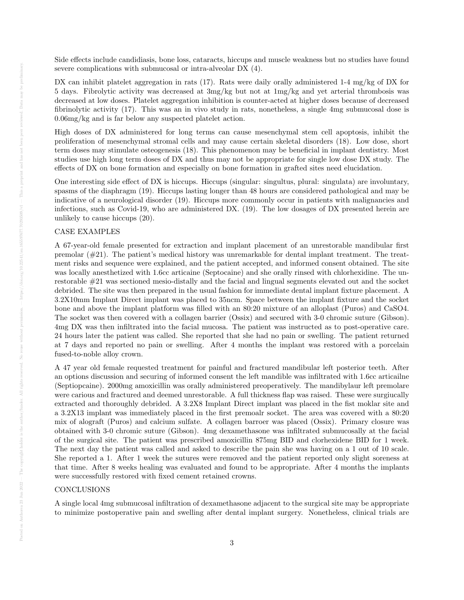Side effects include candidiasis, bone loss, cataracts, hiccups and muscle weakness but no studies have found severe complications with submucosal or intra-alveolar DX (4).

DX can inhibit platelet aggregation in rats (17). Rats were daily orally administered 1-4 mg/kg of DX for 5 days. Fibrolytic activity was decreased at 3mg/kg but not at 1mg/kg and yet arterial thrombosis was decreased at low doses. Platelet aggregation inhibition is counter-acted at higher doses because of decreased fibrinolytic activity (17). This was an in vivo study in rats, nonetheless, a single 4mg submucosal dose is 0.06mg/kg and is far below any suspected platelet action.

High doses of DX administered for long terms can cause mesenchymal stem cell apoptosis, inhibit the proliferation of mesenchymal stromal cells and may cause certain skeletal disorders (18). Low dose, short term doses may stimulate osteogenesis (18). This phenomenon may be beneficial in implant dentistry. Most studies use high long term doses of DX and thus may not be appropriate for single low dose DX study. The effects of DX on bone formation and especially on bone formation in grafted sites need elucidation.

One interesting side effect of DX is hiccups. Hiccups (singular: singultus, plural: singulata) are involuntary, spasms of the diaphragm (19). Hiccups lasting longer than 48 hours are considered pathological and may be indicative of a neurological disorder (19). Hiccups more commonly occur in patients with malignancies and infections, such as Covid-19, who are administered DX. (19). The low dosages of DX presented herein are unlikely to cause hiccups (20).

#### CASE EXAMPLES

A 67-year-old female presented for extraction and implant placement of an unrestorable mandibular first premolar (#21). The patient's medical history was unremarkable for dental implant treatment. The treatment risks and sequence were explained, and the patient accepted, and informed consent obtained. The site was locally anesthetized with 1.6cc articaine (Septocaine) and she orally rinsed with chlorhexidine. The unrestorable #21 was sectioned mesio-distally and the facial and lingual segments elevated out and the socket debrided. The site was then prepared in the usual fashion for immediate dental implant fixture placement. A 3.2X10mm Implant Direct implant was placed to 35ncm. Space between the implant fixture and the socket bone and above the implant platform was filled with an 80:20 mixture of an alloplast (Puros) and CaSO4. The socket was then covered with a collagen barrier (Ossix) and secured with 3-0 chromic suture (Gibson). 4mg DX was then infiltrated into the facial mucosa. The patient was instructed as to post-operative care. 24 hours later the patient was called. She reported that she had no pain or swelling. The patient returned at 7 days and reported no pain or swelling. After 4 months the implant was restored with a porcelain fused-to-noble alloy crown.

A 47 year old female requested treatment for painful and fractured mandibular left posterior teeth. After an options discussion and securing of informed consent the left mandible was infiltrated with 1.6cc articailne (Septiopcaine). 2000mg amoxicillin was orally administered preoperatively. The mandibylaur left premolare were carious and fractured and deemed unrestorable. A full thickness flap was raised. These were surgiucally extracted and thoroughly debrided. A 3.2X8 Implant Direct implant was placed in the fist moklar site and a 3.2X13 implant was immediately placed in the first premoalr socket. The area was covered with a 80:20 mix of alograft (Puros) and calcium sulfate. A collagen barroer was placed (Ossix). Primary closure was obtained with 3-0 chromic suture (Gibson). 4mg dexamethasone was infiltrated submucosally at the facial of the surgical site. The patient was prescribed amoxicillin 875mg BID and clorhexidene BID for 1 week. The next day the patient was called and asked to describe the pain she was having on a 1 out of 10 scale. She reported a 1. After 1 week the sutures were removed and the patient reported only slight soreness at that time. After 8 weeks healing was evaluated and found to be appropriate. After 4 months the implants were successfully restored with fixed cement retained crowns.

### **CONCLUSIONS**

A single local 4mg submucosal infiltration of dexamethasone adjacent to the surgical site may be appropriate to minimize postoperative pain and swelling after dental implant surgery. Nonetheless, clinical trials are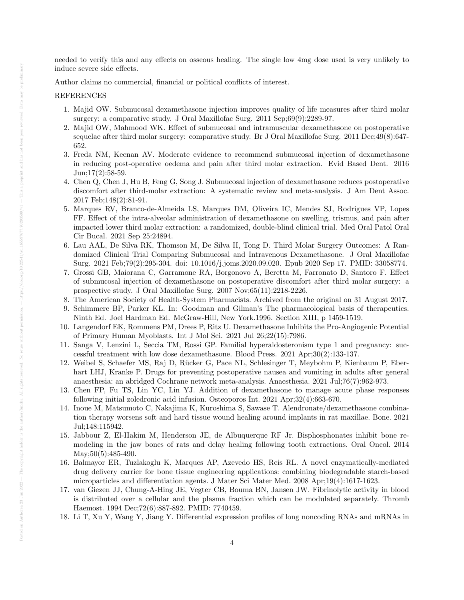needed to verify this and any effects on osseous healing. The single low 4mg dose used is very unlikely to induce severe side effects.

Author claims no commercial, financial or political conflicts of interest.

#### REFERENCES

- 1. Majid OW. Submucosal dexamethasone injection improves quality of life measures after third molar surgery: a comparative study. J Oral Maxillofac Surg. 2011 Sep;69(9):2289-97.
- 2. Majid OW, Mahmood WK. Effect of submucosal and intramuscular dexamethasone on postoperative sequelae after third molar surgery: comparative study. Br J Oral Maxillofac Surg. 2011 Dec;49(8):647- 652.
- 3. Freda NM, Keenan AV. Moderate evidence to recommend submucosal injection of dexamethasone in reducing post-operative oedema and pain after third molar extraction. Evid Based Dent. 2016  $Jun;17(2):58-59.$
- 4. Chen Q, Chen J, Hu B, Feng G, Song J. Submucosal injection of dexamethasone reduces postoperative discomfort after third-molar extraction: A systematic review and meta-analysis. J Am Dent Assoc. 2017 Feb;148(2):81-91.
- 5. Marques RV, Branco-de-Almeida LS, Marques DM, Oliveira IC, Mendes SJ, Rodrigues VP, Lopes FF. Effect of the intra-alveolar administration of dexamethasone on swelling, trismus, and pain after impacted lower third molar extraction: a randomized, double-blind clinical trial. Med Oral Patol Oral Cir Bucal. 2021 Sep 25:24894.
- 6. Lau AAL, De Silva RK, Thomson M, De Silva H, Tong D. Third Molar Surgery Outcomes: A Randomized Clinical Trial Comparing Submucosal and Intravenous Dexamethasone. J Oral Maxillofac Surg. 2021 Feb;79(2):295-304. doi: 10.1016/j.joms.2020.09.020. Epub 2020 Sep 17. PMID: 33058774.
- 7. Grossi GB, Maiorana C, Garramone RA, Borgonovo A, Beretta M, Farronato D, Santoro F. Effect of submucosal injection of dexamethasone on postoperative discomfort after third molar surgery: a prospective study. J Oral Maxillofac Surg. 2007 Nov;65(11):2218-2226.
- 8. The American Society of Health-System Pharmacists. Archived from the original on 31 August 2017.
- 9. Schimmere BP, Parker KL. In: Goodman and Gilman's The pharmacological basis of therapeutics. Ninth Ed. Joel Hardman Ed. McGraw-Hill, New York.1996. Section XIII, p 1459-1519.
- 10. Langendorf EK, Rommens PM, Drees P, Ritz U. Dexamethasone Inhibits the Pro-Angiogenic Potential of Primary Human Myoblasts. Int J Mol Sci. 2021 Jul 26;22(15):7986.
- 11. Sanga V, Lenzini L, Seccia TM, Rossi GP. Familial hyperaldosteronism type 1 and pregnancy: successful treatment with low dose dexamethasone. Blood Press. 2021 Apr;30(2):133-137.
- 12. Weibel S, Schaefer MS, Raj D, Rucker G, Pace NL, Schlesinger T, Meybohm P, Kienbaum P, Eber- ¨ hart LHJ, Kranke P. Drugs for preventing postoperative nausea and vomiting in adults after general anaesthesia: an abridged Cochrane network meta-analysis. Anaesthesia. 2021 Jul;76(7):962-973.
- 13. Chen FP, Fu TS, Lin YC, Lin YJ. Addition of dexamethasone to manage acute phase responses following initial zoledronic acid infusion. Osteoporos Int. 2021 Apr;32(4):663-670.
- 14. Inoue M, Matsumoto C, Nakajima K, Kuroshima S, Sawase T. Alendronate/dexamethasone combination therapy worsens soft and hard tissue wound healing around implants in rat maxillae. Bone. 2021 Jul;148:115942.
- 15. Jabbour Z, El-Hakim M, Henderson JE, de Albuquerque RF Jr. Bisphosphonates inhibit bone remodeling in the jaw bones of rats and delay healing following tooth extractions. Oral Oncol. 2014 May;  $50(5):485-490$ .
- 16. Balmayor ER, Tuzlakoglu K, Marques AP, Azevedo HS, Reis RL. A novel enzymatically-mediated drug delivery carrier for bone tissue engineering applications: combining biodegradable starch-based microparticles and differentiation agents. J Mater Sci Mater Med. 2008 Apr;19(4):1617-1623.
- 17. van Giezen JJ, Chung-A-Hing JE, Vegter CB, Bouma BN, Jansen JW. Fibrinolytic activity in blood is distributed over a cellular and the plasma fraction which can be modulated separately. Thromb Haemost. 1994 Dec;72(6):887-892. PMID: 7740459.
- 18. Li T, Xu Y, Wang Y, Jiang Y. Differential expression profiles of long noncoding RNAs and mRNAs in